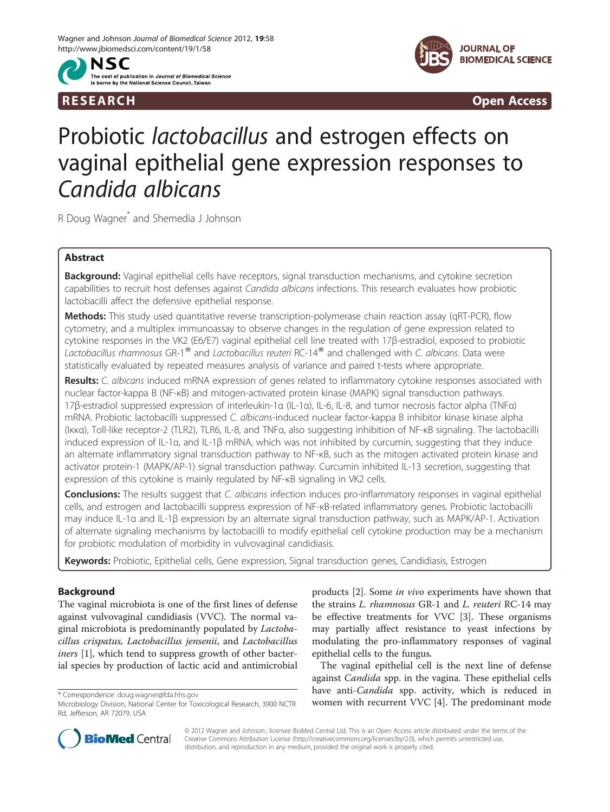

R E S EAR CH Open Access



# Probiotic lactobacillus and estrogen effects on vaginal epithelial gene expression responses to Candida albicans

R Doug Wagner\* and Shemedia J Johnson

# Abstract

Background: Vaginal epithelial cells have receptors, signal transduction mechanisms, and cytokine secretion capabilities to recruit host defenses against Candida albicans infections. This research evaluates how probiotic lactobacilli affect the defensive epithelial response.

Methods: This study used quantitative reverse transcription-polymerase chain reaction assay (qRT-PCR), flow cytometry, and a multiplex immunoassay to observe changes in the regulation of gene expression related to cytokine responses in the VK2 (E6/E7) vaginal epithelial cell line treated with 17β-estradiol, exposed to probiotic Lactobacillus rhamnosus GR-1<sup>®</sup> and Lactobacillus reuteri RC-14<sup>®</sup> and challenged with C. albicans. Data were statistically evaluated by repeated measures analysis of variance and paired t-tests where appropriate.

Results: C. albicans induced mRNA expression of genes related to inflammatory cytokine responses associated with nuclear factor-kappa B (NF-κB) and mitogen-activated protein kinase (MAPK) signal transduction pathways. 17β-estradiol suppressed expression of interleukin-1α (IL-1α), IL-6, IL-8, and tumor necrosis factor alpha (TNFα) mRNA. Probiotic lactobacilli suppressed C. albicans-induced nuclear factor-kappa B inhibitor kinase kinase alpha (Iκκα), Toll-like receptor-2 (TLR2), TLR6, IL-8, and TNFα, also suggesting inhibition of NF-κB signaling. The lactobacilli induced expression of IL-1α, and IL-1β mRNA, which was not inhibited by curcumin, suggesting that they induce an alternate inflammatory signal transduction pathway to NF-κB, such as the mitogen activated protein kinase and activator protein-1 (MAPK/AP-1) signal transduction pathway. Curcumin inhibited IL-13 secretion, suggesting that expression of this cytokine is mainly regulated by NF-κB signaling in VK2 cells.

Conclusions: The results suggest that C. albicans infection induces pro-inflammatory responses in vaginal epithelial cells, and estrogen and lactobacilli suppress expression of NF-κB-related inflammatory genes. Probiotic lactobacilli may induce IL-1α and IL-1β expression by an alternate signal transduction pathway, such as MAPK/AP-1. Activation of alternate signaling mechanisms by lactobacilli to modify epithelial cell cytokine production may be a mechanism for probiotic modulation of morbidity in vulvovaginal candidiasis.

Keywords: Probiotic, Epithelial cells, Gene expression, Signal transduction genes, Candidiasis, Estrogen

# Background

The vaginal microbiota is one of the first lines of defense against vulvovaginal candidiasis (VVC). The normal vaginal microbiota is predominantly populated by Lactobacillus crispatus, Lactobacillus jensenii, and Lactobacillus iners [\[1](#page-7-0)], which tend to suppress growth of other bacterial species by production of lactic acid and antimicrobial

products [\[2](#page-7-0)]. Some in vivo experiments have shown that the strains L. rhamnosus GR-1 and L. reuteri RC-14 may be effective treatments for VVC [\[3](#page-7-0)]. These organisms may partially affect resistance to yeast infections by modulating the pro-inflammatory responses of vaginal epithelial cells to the fungus.

The vaginal epithelial cell is the next line of defense against *Candida* spp. in the vagina. These epithelial cells have anti-Candida spp. activity, which is reduced in \* Correspondence: [doug.wagner@fda.hhs.gov](mailto:doug.wagner@fda.hhs.gov)<br>Microbiology Division, National Center for Toxicological Research, 3900 NCTR **women with recurrent VVC** [[4\]](#page-7-0). The predominant mode



© 2012 Wagner and Johnson.; licensee BioMed Central Ltd. This is an Open Access article distributed under the terms of the Creative Commons Attribution License (<http://creativecommons.org/licenses/by/2.0>), which permits unrestricted use, distribution, and reproduction in any medium, provided the original work is properly cited.

Microbiology Division, National Center for Toxicological Research, 3900 NCTR Rd, Jefferson, AR 72079, USA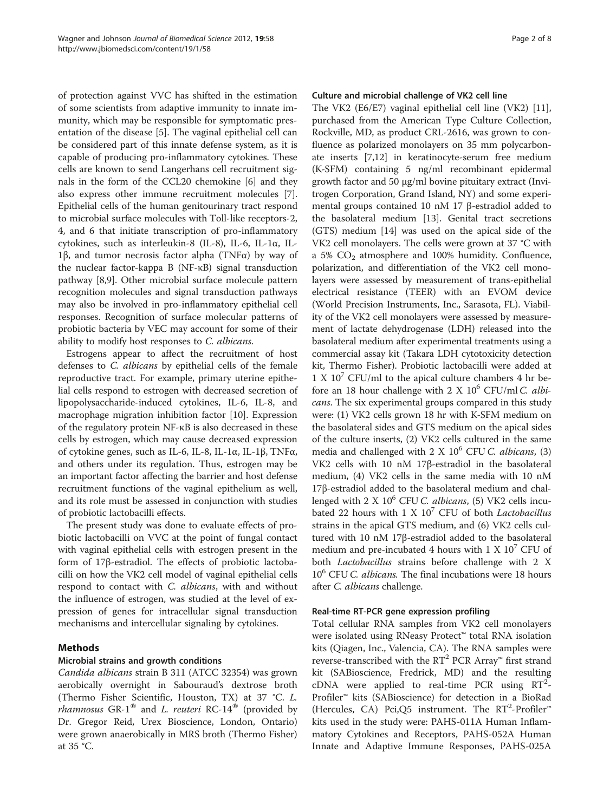of protection against VVC has shifted in the estimation of some scientists from adaptive immunity to innate immunity, which may be responsible for symptomatic presentation of the disease [\[5\]](#page-7-0). The vaginal epithelial cell can be considered part of this innate defense system, as it is capable of producing pro-inflammatory cytokines. These cells are known to send Langerhans cell recruitment signals in the form of the CCL20 chemokine [\[6](#page-7-0)] and they also express other immune recruitment molecules [\[7](#page-7-0)]. Epithelial cells of the human genitourinary tract respond to microbial surface molecules with Toll-like receptors-2, 4, and 6 that initiate transcription of pro-inflammatory cytokines, such as interleukin-8 (IL-8), IL-6, IL-1α, IL-1β, and tumor necrosis factor alpha (TNFα) by way of the nuclear factor-kappa B (NF-κB) signal transduction pathway [\[8,9](#page-7-0)]. Other microbial surface molecule pattern recognition molecules and signal transduction pathways may also be involved in pro-inflammatory epithelial cell responses. Recognition of surface molecular patterns of probiotic bacteria by VEC may account for some of their ability to modify host responses to C. albicans.

Estrogens appear to affect the recruitment of host defenses to C. albicans by epithelial cells of the female reproductive tract. For example, primary uterine epithelial cells respond to estrogen with decreased secretion of lipopolysaccharide-induced cytokines, IL-6, IL-8, and macrophage migration inhibition factor [\[10](#page-7-0)]. Expression of the regulatory protein NF-κB is also decreased in these cells by estrogen, which may cause decreased expression of cytokine genes, such as IL-6, IL-8, IL-1α, IL-1β, TNFα, and others under its regulation. Thus, estrogen may be an important factor affecting the barrier and host defense recruitment functions of the vaginal epithelium as well, and its role must be assessed in conjunction with studies of probiotic lactobacilli effects.

The present study was done to evaluate effects of probiotic lactobacilli on VVC at the point of fungal contact with vaginal epithelial cells with estrogen present in the form of 17β-estradiol. The effects of probiotic lactobacilli on how the VK2 cell model of vaginal epithelial cells respond to contact with C. albicans, with and without the influence of estrogen, was studied at the level of expression of genes for intracellular signal transduction mechanisms and intercellular signaling by cytokines.

## Methods

## Microbial strains and growth conditions

Candida albicans strain B 311 (ATCC 32354) was grown aerobically overnight in Sabouraud's dextrose broth (Thermo Fisher Scientific, Houston, TX) at 37 °C. L. *rhamnosus* GR-1<sup>®</sup> and *L. reuteri* RC-14<sup>®</sup> (provided by Dr. Gregor Reid, Urex Bioscience, London, Ontario) were grown anaerobically in MRS broth (Thermo Fisher) at 35 °C.

## Culture and microbial challenge of VK2 cell line

The VK2 (E6/E7) vaginal epithelial cell line (VK2) [\[11](#page-7-0)], purchased from the American Type Culture Collection, Rockville, MD, as product CRL-2616, was grown to confluence as polarized monolayers on 35 mm polycarbonate inserts [[7,12\]](#page-7-0) in keratinocyte-serum free medium (K-SFM) containing 5 ng/ml recombinant epidermal growth factor and 50 μg/ml bovine pituitary extract (Invitrogen Corporation, Grand Island, NY) and some experimental groups contained 10 nM 17 β-estradiol added to the basolateral medium [\[13](#page-7-0)]. Genital tract secretions (GTS) medium [[14\]](#page-7-0) was used on the apical side of the VK2 cell monolayers. The cells were grown at 37 °C with a 5%  $CO<sub>2</sub>$  atmosphere and 100% humidity. Confluence, polarization, and differentiation of the VK2 cell monolayers were assessed by measurement of trans-epithelial electrical resistance (TEER) with an EVOM device (World Precision Instruments, Inc., Sarasota, FL). Viability of the VK2 cell monolayers were assessed by measurement of lactate dehydrogenase (LDH) released into the basolateral medium after experimental treatments using a commercial assay kit (Takara LDH cytotoxicity detection kit, Thermo Fisher). Probiotic lactobacilli were added at  $1 X 10<sup>7</sup>$  CFU/ml to the apical culture chambers 4 hr before an 18 hour challenge with 2 X  $10^6$  CFU/ml C. albicans. The six experimental groups compared in this study were: (1) VK2 cells grown 18 hr with K-SFM medium on the basolateral sides and GTS medium on the apical sides of the culture inserts, (2) VK2 cells cultured in the same media and challenged with  $2 \text{ X } 10^6$  CFU C. albicans, (3) VK2 cells with 10 nM 17β-estradiol in the basolateral medium, (4) VK2 cells in the same media with 10 nM 17β-estradiol added to the basolateral medium and challenged with 2 X  $10^6$  CFU C. albicans, (5) VK2 cells incubated 22 hours with 1 X  $10^7$  CFU of both *Lactobacillus* strains in the apical GTS medium, and (6) VK2 cells cultured with 10 nM 17β-estradiol added to the basolateral medium and pre-incubated 4 hours with 1 X  $10^7$  CFU of both Lactobacillus strains before challenge with 2 X  $10^6$  CFU *C. albicans*. The final incubations were 18 hours after C. albicans challenge.

## Real-time RT-PCR gene expression profiling

Total cellular RNA samples from VK2 cell monolayers were isolated using RNeasy Protect™ total RNA isolation kits (Qiagen, Inc., Valencia, CA). The RNA samples were reverse-transcribed with the  $RT^2$  PCR Array<sup>™</sup> first strand kit (SABioscience, Fredrick, MD) and the resulting cDNA were applied to real-time PCR using  $RT^2$ -Profiler™ kits (SABioscience) for detection in a BioRad (Hercules, CA) Pci,Q5 instrument. The  $RT^2$ -Profiler<sup>™</sup> kits used in the study were: PAHS-011A Human Inflammatory Cytokines and Receptors, PAHS-052A Human Innate and Adaptive Immune Responses, PAHS-025A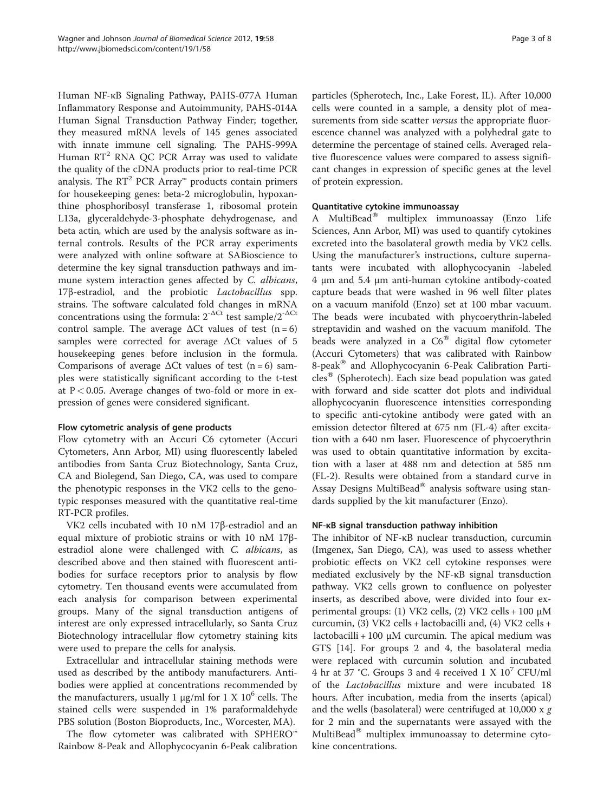Human NF-κB Signaling Pathway, PAHS-077A Human Inflammatory Response and Autoimmunity, PAHS-014A Human Signal Transduction Pathway Finder; together, they measured mRNA levels of 145 genes associated with innate immune cell signaling. The PAHS-999A Human RT<sup>2</sup> RNA QC PCR Array was used to validate the quality of the cDNA products prior to real-time PCR analysis. The  $RT^2$  PCR Array<sup>™</sup> products contain primers for housekeeping genes: beta-2 microglobulin, hypoxanthine phosphoribosyl transferase 1, ribosomal protein L13a, glyceraldehyde-3-phosphate dehydrogenase, and beta actin, which are used by the analysis software as internal controls. Results of the PCR array experiments were analyzed with online software at SABioscience to determine the key signal transduction pathways and immune system interaction genes affected by C. albicans, 17β-estradiol, and the probiotic Lactobacillus spp. strains. The software calculated fold changes in mRNA concentrations using the formula:  $2^{-\Delta Ct}$  test sample/ $2^{-\Delta Ct}$ control sample. The average  $\Delta$ Ct values of test (n = 6) samples were corrected for average ΔCt values of 5 housekeeping genes before inclusion in the formula. Comparisons of average  $\Delta$ Ct values of test (n = 6) samples were statistically significant according to the t-test at  $P < 0.05$ . Average changes of two-fold or more in expression of genes were considered significant.

#### Flow cytometric analysis of gene products

Flow cytometry with an Accuri C6 cytometer (Accuri Cytometers, Ann Arbor, MI) using fluorescently labeled antibodies from Santa Cruz Biotechnology, Santa Cruz, CA and Biolegend, San Diego, CA, was used to compare the phenotypic responses in the VK2 cells to the genotypic responses measured with the quantitative real-time RT-PCR profiles.

VK2 cells incubated with 10 nM 17β-estradiol and an equal mixture of probiotic strains or with 10 nM 17βestradiol alone were challenged with C. albicans, as described above and then stained with fluorescent antibodies for surface receptors prior to analysis by flow cytometry. Ten thousand events were accumulated from each analysis for comparison between experimental groups. Many of the signal transduction antigens of interest are only expressed intracellularly, so Santa Cruz Biotechnology intracellular flow cytometry staining kits were used to prepare the cells for analysis.

Extracellular and intracellular staining methods were used as described by the antibody manufacturers. Antibodies were applied at concentrations recommended by the manufacturers, usually 1 μg/ml for 1 X  $10<sup>6</sup>$  cells. The stained cells were suspended in 1% paraformaldehyde PBS solution (Boston Bioproducts, Inc., Worcester, MA).

The flow cytometer was calibrated with SPHERO™ Rainbow 8-Peak and Allophycocyanin 6-Peak calibration

particles (Spherotech, Inc., Lake Forest, IL). After 10,000 cells were counted in a sample, a density plot of measurements from side scatter *versus* the appropriate fluorescence channel was analyzed with a polyhedral gate to determine the percentage of stained cells. Averaged relative fluorescence values were compared to assess significant changes in expression of specific genes at the level of protein expression.

## Quantitative cytokine immunoassay

A MultiBead<sup>®</sup> multiplex immunoassay (Enzo Life Sciences, Ann Arbor, MI) was used to quantify cytokines excreted into the basolateral growth media by VK2 cells. Using the manufacturer's instructions, culture supernatants were incubated with allophycocyanin -labeled 4 μm and 5.4 μm anti-human cytokine antibody-coated capture beads that were washed in 96 well filter plates on a vacuum manifold (Enzo) set at 100 mbar vacuum. The beads were incubated with phycoerythrin-labeled streptavidin and washed on the vacuum manifold. The beads were analyzed in a  $C6^{\circledast}$  digital flow cytometer (Accuri Cytometers) that was calibrated with Rainbow 8-peak<sup>®</sup> and Allophycocyanin 6-Peak Calibration Particles<sup>®</sup> (Spherotech). Each size bead population was gated with forward and side scatter dot plots and individual allophycocyanin fluorescence intensities corresponding to specific anti-cytokine antibody were gated with an emission detector filtered at 675 nm (FL-4) after excitation with a 640 nm laser. Fluorescence of phycoerythrin was used to obtain quantitative information by excitation with a laser at 488 nm and detection at 585 nm (FL-2). Results were obtained from a standard curve in Assay Designs MultiBead<sup>®</sup> analysis software using standards supplied by the kit manufacturer (Enzo).

## NF-κB signal transduction pathway inhibition

The inhibitor of NF-κB nuclear transduction, curcumin (Imgenex, San Diego, CA), was used to assess whether probiotic effects on VK2 cell cytokine responses were mediated exclusively by the NF-κB signal transduction pathway. VK2 cells grown to confluence on polyester inserts, as described above, were divided into four experimental groups: (1) VK2 cells, (2) VK2 cells + 100 μM curcumin, (3) VK2 cells + lactobacilli and, (4) VK2 cells + lactobacilli + 100 μM curcumin. The apical medium was GTS [[14\]](#page-7-0). For groups 2 and 4, the basolateral media were replaced with curcumin solution and incubated 4 hr at 37 °C. Groups 3 and 4 received  $1 \times 10^{7}$  CFU/ml of the Lactobacillus mixture and were incubated 18 hours. After incubation, media from the inserts (apical) and the wells (basolateral) were centrifuged at 10,000 x  $g$ for 2 min and the supernatants were assayed with the MultiBead $^{\circledR}$  multiplex immunoassay to determine cytokine concentrations.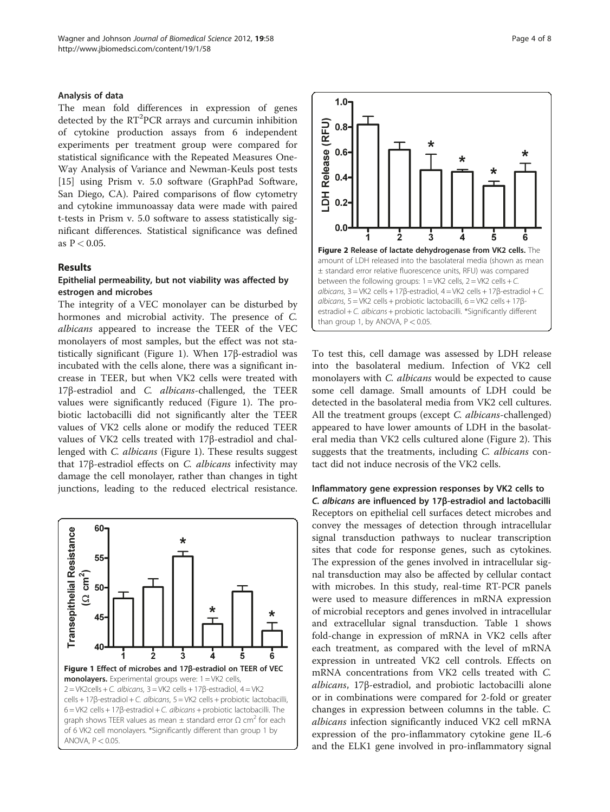#### Analysis of data

The mean fold differences in expression of genes detected by the  $RT<sup>2</sup>PCR$  arrays and curcumin inhibition of cytokine production assays from 6 independent experiments per treatment group were compared for statistical significance with the Repeated Measures One-Way Analysis of Variance and Newman-Keuls post tests [[15\]](#page-7-0) using Prism v. 5.0 software (GraphPad Software, San Diego, CA). Paired comparisons of flow cytometry and cytokine immunoassay data were made with paired t-tests in Prism v. 5.0 software to assess statistically significant differences. Statistical significance was defined as  $P < 0.05$ .

#### Results

#### Epithelial permeability, but not viability was affected by estrogen and microbes

The integrity of a VEC monolayer can be disturbed by hormones and microbial activity. The presence of C. albicans appeared to increase the TEER of the VEC monolayers of most samples, but the effect was not statistically significant (Figure 1). When 17β-estradiol was incubated with the cells alone, there was a significant increase in TEER, but when VK2 cells were treated with 17β-estradiol and C. albicans-challenged, the TEER values were significantly reduced (Figure 1). The probiotic lactobacilli did not significantly alter the TEER values of VK2 cells alone or modify the reduced TEER values of VK2 cells treated with 17β-estradiol and challenged with C. albicans (Figure 1). These results suggest that 17β-estradiol effects on C. albicans infectivity may damage the cell monolayer, rather than changes in tight junctions, leading to the reduced electrical resistance.





To test this, cell damage was assessed by LDH release into the basolateral medium. Infection of VK2 cell monolayers with *C. albicans* would be expected to cause some cell damage. Small amounts of LDH could be detected in the basolateral media from VK2 cell cultures. All the treatment groups (except C. albicans-challenged) appeared to have lower amounts of LDH in the basolateral media than VK2 cells cultured alone (Figure 2). This suggests that the treatments, including C. albicans contact did not induce necrosis of the VK2 cells.

Inflammatory gene expression responses by VK2 cells to C. albicans are influenced by 17β-estradiol and lactobacilli Receptors on epithelial cell surfaces detect microbes and convey the messages of detection through intracellular signal transduction pathways to nuclear transcription sites that code for response genes, such as cytokines. The expression of the genes involved in intracellular signal transduction may also be affected by cellular contact with microbes. In this study, real-time RT-PCR panels were used to measure differences in mRNA expression of microbial receptors and genes involved in intracellular and extracellular signal transduction. Table [1](#page-4-0) shows fold-change in expression of mRNA in VK2 cells after each treatment, as compared with the level of mRNA expression in untreated VK2 cell controls. Effects on mRNA concentrations from VK2 cells treated with C. albicans, 17β-estradiol, and probiotic lactobacilli alone or in combinations were compared for 2-fold or greater changes in expression between columns in the table. C. albicans infection significantly induced VK2 cell mRNA expression of the pro-inflammatory cytokine gene IL-6 and the ELK1 gene involved in pro-inflammatory signal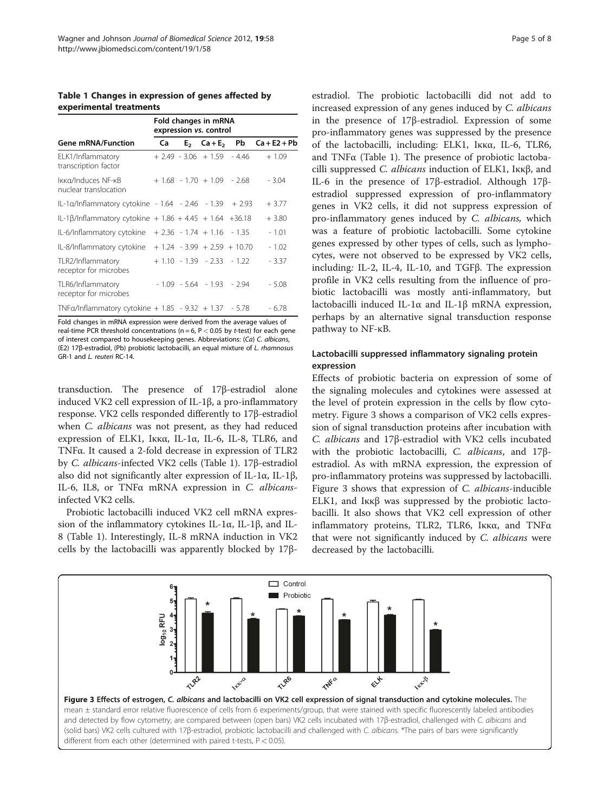<span id="page-4-0"></span>Table 1 Changes in expression of genes affected by experimental treatments

| <b>Gene mRNA/Function</b>                                        | Fold changes in mRNA<br>expression vs. control |  |                              |                               |                |
|------------------------------------------------------------------|------------------------------------------------|--|------------------------------|-------------------------------|----------------|
|                                                                  | Ca                                             |  | $E_2$ $Ca+E_2$               | Pb                            | $Ca + E2 + Pb$ |
| ELK1/Inflammatory<br>transcription factor                        |                                                |  |                              | $+ 2.49 - 3.06 + 1.59 - 4.46$ | $+1.09$        |
| Ikka/Induces NF-kB<br>nuclear translocation                      |                                                |  | $+1.68 - 1.70 + 1.09 - 2.68$ |                               | $-3.04$        |
| IL-1 $\alpha$ /Inflammatory cytokine - 1.64 - 2.46 - 1.39 + 2.93 |                                                |  |                              |                               | $+3.77$        |
| IL-1 $\beta$ /Inflammatory cytokine + 1.86 + 4.45 + 1.64 +36.18  |                                                |  |                              |                               | $+3.80$        |
| IL-6/Inflammatory cytokine $+2.36 - 1.74 + 1.16 - 1.35$          |                                                |  |                              |                               | $-1.01$        |
| IL-8/Inflammatory cytokine $+1.24 - 3.99 + 2.59 + 10.70$         |                                                |  |                              |                               | - 1.02         |
| TLR2/Inflammatory<br>receptor for microbes                       |                                                |  | $+1.10 - 1.39 - 2.33 - 1.22$ |                               | - 3.37         |
| TLR6/Inflammatory<br>receptor for microbes                       |                                                |  | $-1.09 - 5.64 - 1.93 - 2.94$ |                               | $-5.08$        |
| TNFa/Inflammatory cytokine + $1.85 - 9.32 + 1.37 - 5.78$         |                                                |  |                              |                               | $-6.78$        |

Fold changes in mRNA expression were derived from the average values of real-time PCR threshold concentrations ( $n = 6$ ,  $P < 0.05$  by t-test) for each gene of interest compared to housekeeping genes. Abbreviations: (Ca) C. albicans, (E2) 17β-estradiol, (Pb) probiotic lactobacilli, an equal mixture of L. rhamnosus GR-1 and L. reuteri RC-14.

transduction. The presence of 17β-estradiol alone induced VK2 cell expression of IL-1β, a pro-inflammatory response. VK2 cells responded differently to 17β-estradiol when *C. albicans* was not present, as they had reduced expression of ELK1, Iκκα, IL-1α, IL-6, IL-8, TLR6, and TNFα. It caused a 2-fold decrease in expression of TLR2 by C. albicans-infected VK2 cells (Table 1). 17β-estradiol also did not significantly alter expression of IL-1α, IL-1β, IL-6, IL8, or TNFα mRNA expression in C. albicansinfected VK2 cells.

Probiotic lactobacilli induced VK2 cell mRNA expression of the inflammatory cytokines IL-1α, IL-1β, and IL-8 (Table 1). Interestingly, IL-8 mRNA induction in VK2 cells by the lactobacilli was apparently blocked by 17β-

estradiol. The probiotic lactobacilli did not add to increased expression of any genes induced by C. albicans in the presence of 17β-estradiol. Expression of some pro-inflammatory genes was suppressed by the presence of the lactobacilli, including: ELK1, Iκκα, IL-6, TLR6, and TNFα (Table 1). The presence of probiotic lactobacilli suppressed C. albicans induction of ELK1, Iκκβ, and IL-6 in the presence of 17β-estradiol. Although 17βestradiol suppressed expression of pro-inflammatory genes in VK2 cells, it did not suppress expression of pro-inflammatory genes induced by C. albicans, which was a feature of probiotic lactobacilli. Some cytokine genes expressed by other types of cells, such as lymphocytes, were not observed to be expressed by VK2 cells, including: IL-2, IL-4, IL-10, and TGFβ. The expression profile in VK2 cells resulting from the influence of probiotic lactobacilli was mostly anti-inflammatory, but lactobacilli induced IL-1α and IL-1β mRNA expression, perhaps by an alternative signal transduction response pathway to NF-κB.

## Lactobacilli suppressed inflammatory signaling protein expression

Effects of probiotic bacteria on expression of some of the signaling molecules and cytokines were assessed at the level of protein expression in the cells by flow cytometry. Figure 3 shows a comparison of VK2 cells expression of signal transduction proteins after incubation with C. albicans and 17β-estradiol with VK2 cells incubated with the probiotic lactobacilli, C. albicans, and 17βestradiol. As with mRNA expression, the expression of pro-inflammatory proteins was suppressed by lactobacilli. Figure 3 shows that expression of C. albicans-inducible ELK1, and Iκκβ was suppressed by the probiotic lactobacilli. It also shows that VK2 cell expression of other inflammatory proteins, TLR2, TLR6, Iκκα, and TNFα that were not significantly induced by C. albicans were decreased by the lactobacilli.

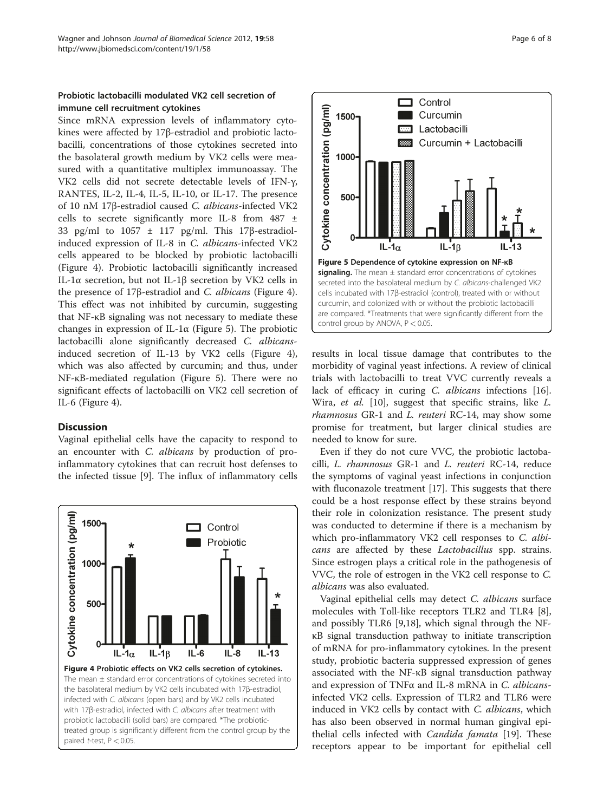# Probiotic lactobacilli modulated VK2 cell secretion of immune cell recruitment cytokines

Since mRNA expression levels of inflammatory cytokines were affected by 17β-estradiol and probiotic lactobacilli, concentrations of those cytokines secreted into the basolateral growth medium by VK2 cells were measured with a quantitative multiplex immunoassay. The VK2 cells did not secrete detectable levels of IFN-γ, RANTES, IL-2, IL-4, IL-5, IL-10, or IL-17. The presence of 10 nM 17β-estradiol caused C. albicans-infected VK2 cells to secrete significantly more IL-8 from 487 ± 33 pg/ml to 1057 ± 117 pg/ml. This 17β-estradiolinduced expression of IL-8 in C. albicans-infected VK2 cells appeared to be blocked by probiotic lactobacilli (Figure 4). Probiotic lactobacilli significantly increased IL-1α secretion, but not IL-1β secretion by VK2 cells in the presence of 17β-estradiol and C. albicans (Figure 4). This effect was not inhibited by curcumin, suggesting that NF-κB signaling was not necessary to mediate these changes in expression of IL-1 $\alpha$  (Figure 5). The probiotic lactobacilli alone significantly decreased C. albicansinduced secretion of IL-13 by VK2 cells (Figure 4), which was also affected by curcumin; and thus, under NF-κB-mediated regulation (Figure 5). There were no significant effects of lactobacilli on VK2 cell secretion of IL-6 (Figure 4).

#### **Discussion**

Vaginal epithelial cells have the capacity to respond to an encounter with C. albicans by production of proinflammatory cytokines that can recruit host defenses to the infected tissue [\[9](#page-7-0)]. The influx of inflammatory cells





results in local tissue damage that contributes to the morbidity of vaginal yeast infections. A review of clinical trials with lactobacilli to treat VVC currently reveals a lack of efficacy in curing C. albicans infections [\[16](#page-7-0)]. Wira, et al. [\[10](#page-7-0)], suggest that specific strains, like L. rhamnosus GR-1 and L. reuteri RC-14, may show some promise for treatment, but larger clinical studies are needed to know for sure.

Even if they do not cure VVC, the probiotic lactobacilli, L. rhamnosus GR-1 and L. reuteri RC-14, reduce the symptoms of vaginal yeast infections in conjunction with fluconazole treatment [[17\]](#page-7-0). This suggests that there could be a host response effect by these strains beyond their role in colonization resistance. The present study was conducted to determine if there is a mechanism by which pro-inflammatory VK2 cell responses to *C. albi*cans are affected by these Lactobacillus spp. strains. Since estrogen plays a critical role in the pathogenesis of VVC, the role of estrogen in the VK2 cell response to C. albicans was also evaluated.

Vaginal epithelial cells may detect C. albicans surface molecules with Toll-like receptors TLR2 and TLR4 [\[8](#page-7-0)], and possibly TLR6 [\[9,18\]](#page-7-0), which signal through the NFκB signal transduction pathway to initiate transcription of mRNA for pro-inflammatory cytokines. In the present study, probiotic bacteria suppressed expression of genes associated with the NF-κB signal transduction pathway and expression of TNFα and IL-8 mRNA in C. albicansinfected VK2 cells. Expression of TLR2 and TLR6 were induced in VK2 cells by contact with *C. albicans*, which has also been observed in normal human gingival epithelial cells infected with *Candida famata* [\[19](#page-7-0)]. These receptors appear to be important for epithelial cell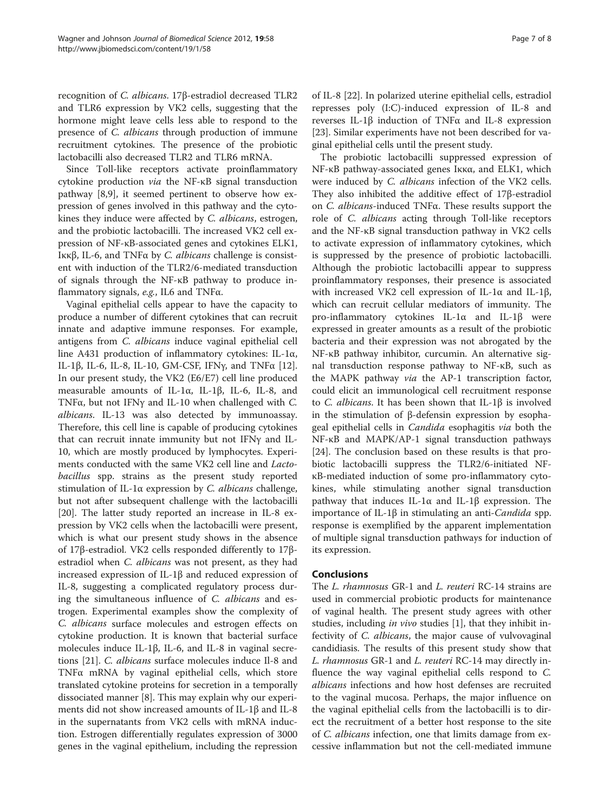recognition of C. albicans. 17β-estradiol decreased TLR2 and TLR6 expression by VK2 cells, suggesting that the hormone might leave cells less able to respond to the presence of C. albicans through production of immune recruitment cytokines. The presence of the probiotic lactobacilli also decreased TLR2 and TLR6 mRNA.

Since Toll-like receptors activate proinflammatory cytokine production via the NF-κB signal transduction pathway [\[8,9](#page-7-0)], it seemed pertinent to observe how expression of genes involved in this pathway and the cytokines they induce were affected by C. albicans, estrogen, and the probiotic lactobacilli. The increased VK2 cell expression of NF-κB-associated genes and cytokines ELK1, Iκκβ, IL-6, and TNFα by C. albicans challenge is consistent with induction of the TLR2/6-mediated transduction of signals through the NF-κB pathway to produce inflammatory signals, e.g., IL6 and TNFα.

Vaginal epithelial cells appear to have the capacity to produce a number of different cytokines that can recruit innate and adaptive immune responses. For example, antigens from C. albicans induce vaginal epithelial cell line A431 production of inflammatory cytokines: IL-1α, IL-1β, IL-6, IL-8, IL-10, GM-CSF, IFNγ, and TNFα [\[12](#page-7-0)]. In our present study, the VK2 (E6/E7) cell line produced measurable amounts of IL-1α, IL-1β, IL-6, IL-8, and TNFα, but not IFNγ and IL-10 when challenged with C. albicans. IL-13 was also detected by immunoassay. Therefore, this cell line is capable of producing cytokines that can recruit innate immunity but not IFNγ and IL-10, which are mostly produced by lymphocytes. Experiments conducted with the same VK2 cell line and Lactobacillus spp. strains as the present study reported stimulation of IL-1α expression by C. albicans challenge, but not after subsequent challenge with the lactobacilli [[20\]](#page-7-0). The latter study reported an increase in IL-8 expression by VK2 cells when the lactobacilli were present, which is what our present study shows in the absence of 17β-estradiol. VK2 cells responded differently to 17βestradiol when C. albicans was not present, as they had increased expression of IL-1β and reduced expression of IL-8, suggesting a complicated regulatory process during the simultaneous influence of C. albicans and estrogen. Experimental examples show the complexity of C. albicans surface molecules and estrogen effects on cytokine production. It is known that bacterial surface molecules induce IL-1 $\beta$ , IL-6, and IL-8 in vaginal secretions [\[21](#page-7-0)]. C. albicans surface molecules induce Il-8 and TNFα mRNA by vaginal epithelial cells, which store translated cytokine proteins for secretion in a temporally dissociated manner [\[8](#page-7-0)]. This may explain why our experiments did not show increased amounts of IL-1β and IL-8 in the supernatants from VK2 cells with mRNA induction. Estrogen differentially regulates expression of 3000 genes in the vaginal epithelium, including the repression

of IL-8 [[22\]](#page-7-0). In polarized uterine epithelial cells, estradiol represses poly (I:C)-induced expression of IL-8 and reverses IL-1β induction of TNFα and IL-8 expression [[23\]](#page-7-0). Similar experiments have not been described for vaginal epithelial cells until the present study.

The probiotic lactobacilli suppressed expression of NF-κB pathway-associated genes Iκκα, and ELK1, which were induced by C. albicans infection of the VK2 cells. They also inhibited the additive effect of 17β-estradiol on C. albicans-induced TNFα. These results support the role of C. albicans acting through Toll-like receptors and the NF-κB signal transduction pathway in VK2 cells to activate expression of inflammatory cytokines, which is suppressed by the presence of probiotic lactobacilli. Although the probiotic lactobacilli appear to suppress proinflammatory responses, their presence is associated with increased VK2 cell expression of IL-1α and IL-1β, which can recruit cellular mediators of immunity. The pro-inflammatory cytokines IL-1α and IL-1β were expressed in greater amounts as a result of the probiotic bacteria and their expression was not abrogated by the NF-κB pathway inhibitor, curcumin. An alternative signal transduction response pathway to NF-κB, such as the MAPK pathway via the AP-1 transcription factor, could elicit an immunological cell recruitment response to C. albicans. It has been shown that IL-1β is involved in the stimulation of β-defensin expression by esophageal epithelial cells in *Candida* esophagitis via both the NF-κB and MAPK/AP-1 signal transduction pathways [[24\]](#page-7-0). The conclusion based on these results is that probiotic lactobacilli suppress the TLR2/6-initiated NFκB-mediated induction of some pro-inflammatory cytokines, while stimulating another signal transduction pathway that induces IL-1α and IL-1β expression. The importance of IL-1β in stimulating an anti-Candida spp. response is exemplified by the apparent implementation of multiple signal transduction pathways for induction of its expression.

#### Conclusions

The L. rhamnosus GR-1 and L. reuteri RC-14 strains are used in commercial probiotic products for maintenance of vaginal health. The present study agrees with other studies, including *in vivo* studies [[1\]](#page-7-0), that they inhibit infectivity of C. albicans, the major cause of vulvovaginal candidiasis. The results of this present study show that L. rhamnosus GR-1 and L. reuteri RC-14 may directly influence the way vaginal epithelial cells respond to C. albicans infections and how host defenses are recruited to the vaginal mucosa. Perhaps, the major influence on the vaginal epithelial cells from the lactobacilli is to direct the recruitment of a better host response to the site of C. albicans infection, one that limits damage from excessive inflammation but not the cell-mediated immune